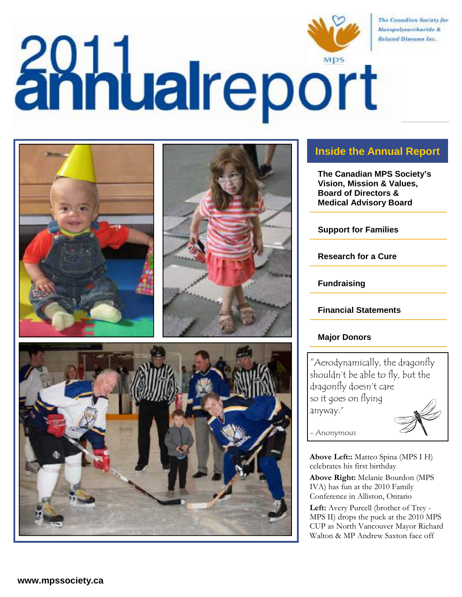# The Canadian Society for Mucopolyeaccharide & **Zottwalreport Related Diseases Inc.**



### **Inside the Annual Report**

**The Canadian MPS Society's Vision, Mission & Values, Board of Directors & Medical Advisory Board** 

**Support for Families** 

**Research for a Cure** 

**Fundraising** 

**Financial Statements** 

### **Major Donors**

"Aerodynamically, the dragonfly shouldn't be able to fly, but the dragonfly doesn't care so it goes on flying anyway."

- Anonymous

**Above Left::** Matteo Spina (MPS I H) celebrates his first birthday

**Above Right:** Melanie Bourdon (MPS IVA) has fun at the 2010 Family Conference in Alliston, Ontario

**Left:** Avery Purcell (brother of Trey - MPS II) drops the puck at the 2010 MPS CUP as North Vancouver Mayor Richard Walton & MP Andrew Saxton face off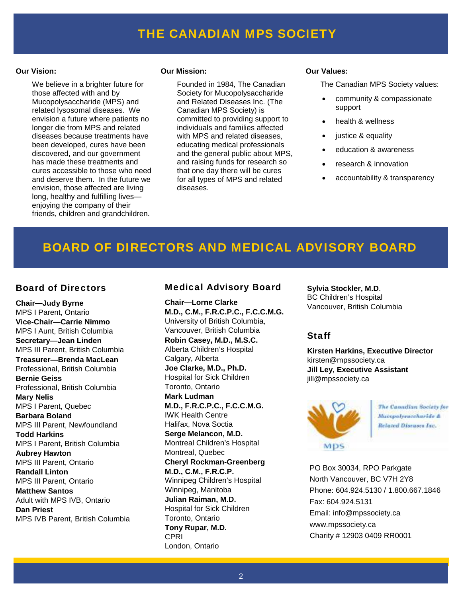### FINANCIAL STATEMENT STATEMENT STATEMENT IN THE CANADIAN MPS SOCIETY And  $\Gamma$

#### **Our Vision:**

 We believe in a brighter future for those affected with and by Mucopolysaccharide (MPS) and related lysosomal diseases. We envision a future where patients no longer die from MPS and related diseases because treatments have been developed, cures have been discovered, and our government has made these treatments and cures accessible to those who need and deserve them. In the future we envision, those affected are living long, healthy and fulfilling lives enjoying the company of their friends, children and grandchildren.

#### **Our Mission:**

 Founded in 1984, The Canadian Society for Mucopolysaccharide and Related Diseases Inc. (The Canadian MPS Society) is committed to providing support to individuals and families affected with MPS and related diseases, educating medical professionals and the general public about MPS, and raising funds for research so that one day there will be cures for all types of MPS and related diseases.

#### **Our Values:**

The Canadian MPS Society values:

- community & compassionate support
- health & wellness
- justice & equality
- education & awareness
- research & innovation
- accountability & transparency

### BOARD OF DIRECTORS AND MEDICAL ADVISORY BOARD

#### Board of Directors

**Chair—Judy Byrne** MPS I Parent, Ontario **Vice-Chair—Carrie Nimmo** MPS I Aunt, British Columbia **Secretary—Jean Linden** MPS III Parent, British Columbia **Treasurer—Brenda MacLean** Professional, British Columbia **Bernie Geiss**  Professional, British Columbia **Mary Nelis**  MPS I Parent, Quebec **Barbara Boland** MPS III Parent, Newfoundland **Todd Harkins**  MPS I Parent, British Columbia **Aubrey Hawton**  MPS III Parent, Ontario **Randall Linton**  MPS III Parent, Ontario **Matthew Santos**  Adult with MPS IVB, Ontario **Dan Priest**  MPS IVB Parent, British Columbia

#### Medical Advisory Board

**Chair—Lorne Clarke M.D., C.M., F.R.C.P.C., F.C.C.M.G.**  University of British Columbia, Vancouver, British Columbia **Robin Casey, M.D., M.S.C.**  Alberta Children's Hospital Calgary, Alberta **Joe Clarke, M.D., Ph.D.**  Hospital for Sick Children Toronto, Ontario **Mark Ludman M.D., F.R.C.P.C., F.C.C.M.G.**  IWK Health Centre Halifax, Nova Soctia **Serge Melancon, M.D.**  Montreal Children's Hospital Montreal, Quebec **Cheryl Rockman-Greenberg M.D., C.M., F.R.C.P.**  Winnipeg Children's Hospital Winnipeg, Manitoba **Julian Raiman, M.D.**  Hospital for Sick Children Toronto, Ontario **Tony Rupar, M.D.**  CPRI London, Ontario

**Sylvia Stockler, M.D**. BC Children's Hospital Vancouver, British Columbia

#### Staff

**Kirsten Harkins, Executive Director**  kirsten@mpssociety.ca **Jill Ley, Executive Assistant**  jill@mpssociety.ca



The Canadian Society for Mucopolysuccharide & **Related Diseases Inc.** 

PO Box 30034, RPO Parkgate North Vancouver, BC V7H 2Y8 Phone: 604.924.5130 / 1.800.667.1846 Fax: 604.924.5131 Email: info@mpssociety.ca www.mpssociety.ca Charity # 12903 0409 RR0001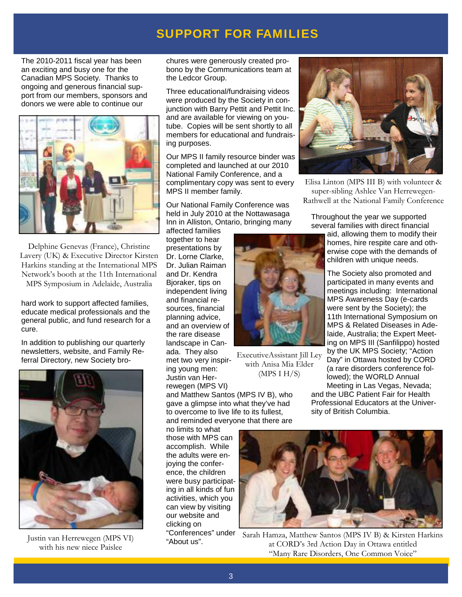### **SUPPORT FOR FAMILIES**

The 2010-2011 fiscal year has been an exciting and busy one for the Canadian MPS Society. Thanks to ongoing and generous financial support from our members, sponsors and donors we were able to continue our



Delphine Genevas (France), Christine Lavery (UK) & Executive Director Kirsten Harkins standing at the International MPS Network's booth at the 11th International MPS Symposium in Adelaide, Australia

hard work to support affected families, educate medical professionals and the general public, and fund research for a cure.

In addition to publishing our quarterly newsletters, website, and Family Referral Directory, new Society bro-



Justin van Herrewegen (MPS VI) with his new niece Paislee

chures were generously created probono by the Communications team at the Ledcor Group.

Three educational/fundraising videos were produced by the Society in conjunction with Barry Pettit and Pettit Inc. and are available for viewing on youtube. Copies will be sent shortly to all members for educational and fundraising purposes.

Our MPS II family resource binder was completed and launched at our 2010 National Family Conference, and a complimentary copy was sent to every MPS II member family.

Our National Family Conference was held in July 2010 at the Nottawasaga Inn in Alliston, Ontario, bringing many

affected families together to hear presentations by Dr. Lorne Clarke, Dr. Julian Raiman and Dr. Kendra Bjoraker, tips on independent living and financial resources, financial planning advice, and an overview of the rare disease landscape in Canada. They also met two very inspiring young men: Justin van Herrewegen (MPS VI)



ExecutiveAssistant Jill Ley with Anisa Mia Elder (MPS I H/S)

and Matthew Santos (MPS IV B), who gave a glimpse into what they've had to overcome to live life to its fullest, and reminded everyone that there are

no limits to what those with MPS can accomplish. While the adults were enjoying the conference, the children were busy participating in all kinds of fun activities, which you can view by visiting our website and clicking on "Conferences" under "About us".



Elisa Linton (MPS III B) with volunteer & super-sibling Ashlee Van Herrewegen-Rathwell at the National Family Conference

Throughout the year we supported several families with direct financial

> aid, allowing them to modify their homes, hire respite care and otherwise cope with the demands of children with unique needs.

The Society also promoted and participated in many events and meetings including: International MPS Awareness Day (e-cards were sent by the Society); the 11th International Symposium on MPS & Related Diseases in Adelaide, Australia; the Expert Meeting on MPS III (Sanfilippo) hosted by the UK MPS Society; "Action Day" in Ottawa hosted by CORD (a rare disorders conference followed); the WORLD Annual Meeting in Las Vegas, Nevada; and the UBC Patient Fair for Health

Professional Educators at the University of British Columbia.



Sarah Hamza, Matthew Santos (MPS IV B) & Kirsten Harkins at CORD's 3rd Action Day in Ottawa entitled "Many Rare Disorders, One Common Voice"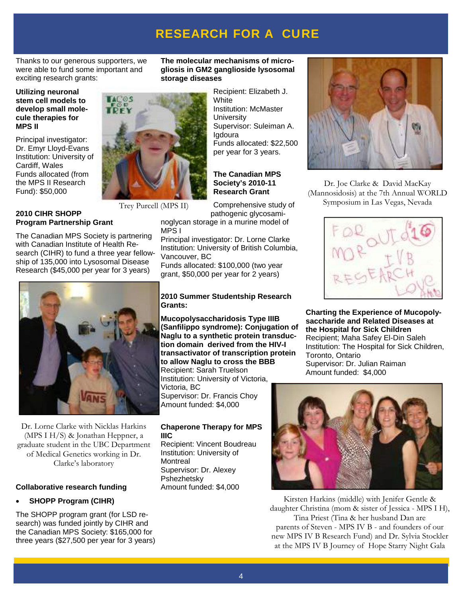# **RESEARCH FOR A CURE**

Thanks to our generous supporters, we were able to fund some important and exciting research grants:

**Utilizing neuronal stem cell models to develop small molecule therapies for MPS II** 

Principal investigator: Dr. Emyr Lloyd-Evans Institution: University of Cardiff, Wales Funds allocated (from the MPS II Research Fund): \$50,000



Trey Purcell (MPS II)

#### **2010 CIHR SHOPP Program Partnership Grant**

The Canadian MPS Society is partnering with Canadian Institute of Health Research (CIHR) to fund a three year fellowship of 135,000 into Lysosomal Disease Research (\$45,000 per year for 3 years)



Dr. Lorne Clarke with Nicklas Harkins (MPS I H/S) & Jonathan Heppner, a graduate student in the UBC Department of Medical Genetics working in Dr. Clarke's laboratory

#### **Collaborative research funding**

#### **SHOPP Program (CIHR)**

The SHOPP program grant (for LSD research) was funded jointly by CIHR and the Canadian MPS Society: \$165,000 for three years (\$27,500 per year for 3 years)

#### **The molecular mechanisms of microgliosis in GM2 ganglioside lysosomal storage diseases**

Recipient: Elizabeth J. **White** Institution: McMaster **University** Supervisor: Suleiman A. Igdoura Funds allocated: \$22,500 per year for 3 years.

#### **The Canadian MPS Society's 2010-11 Research Grant**

Comprehensive study of pathogenic glycosami-

noglycan storage in a murine model of MPS I

Principal investigator: Dr. Lorne Clarke Institution: University of British Columbia, Vancouver, BC

Funds allocated: \$100,000 (two year grant, \$50,000 per year for 2 years)

#### **2010 Summer Studentship Research Grants:**

**Mucopolysaccharidosis Type IIIB (Sanfilippo syndrome): Conjugation of Naglu to a synthetic protein transduction domain derived from the HIV-I transactivator of transcription protein to allow Naglu to cross the BBB**  Recipient: Sarah Truelson Institution: University of Victoria, Victoria, BC Supervisor: Dr. Francis Choy Amount funded: \$4,000

#### **Chaperone Therapy for MPS IIIC**

Recipient: Vincent Boudreau Institution: University of Montreal Supervisor: Dr. Alexey Pshezhetsky Amount funded: \$4,000



Dr. Joe Clarke & David MacKay (Mannosidosis) at the 7th Annual WORLD Symposium in Las Vegas, Nevada



**Charting the Experience of Mucopolysaccharide and Related Diseases at the Hospital for Sick Children**  Recipient; Maha Safey El-Din Saleh Institution: The Hospital for Sick Children, Toronto, Ontario Supervisor: Dr. Julian Raiman Amount funded: \$4,000



Kirsten Harkins (middle) with Jenifer Gentle & daughter Christina (mom & sister of Jessica - MPS I H), Tina Priest (Tina & her husband Dan are parents of Steven - MPS IV B - and founders of our new MPS IV B Research Fund) and Dr. Sylvia Stockler at the MPS IV B Journey of Hope Starry Night Gala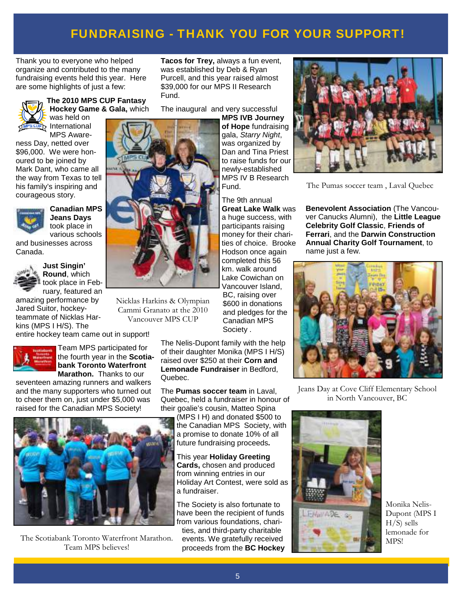# FUNDRAISING - THANK YOU FOR YOUR SUPPORT!

Thank you to everyone who helped organize and contributed to the many fundraising events held this year. Here are some highlights of just a few:



#### **The 2010 MPS CUP Fantasy Hockey Game & Gala,** which

was held on International MPS Aware-

ness Day, netted over \$96,000. We were honoured to be joined by Mark Dant, who came all the way from Texas to tell his family's inspiring and courageous story.



**Canadian MPS Jeans Days**  took place in various schools

and businesses across Canada.



**Just Singin' Round**, which took place in February, featured an

amazing performance by Jared Suitor, hockeyteammate of Nicklas Harkins (MPS I H/S). The

entire hockey team came out in support!



Team MPS participated for the fourth year in the **Scotiabank Toronto Waterfront Marathon.** Thanks to our

Nicklas Harkins & Olympian Cammi Granato at the 2010 Vancouver MPS CUP

seventeen amazing runners and walkers and the many supporters who turned out to cheer them on, just under \$5,000 was raised for the Canadian MPS Society!



The Scotiabank Toronto Waterfront Marathon. Team MPS believes!

**Tacos for Trey,** always a fun event, was established by Deb & Ryan Purcell, and this year raised almost \$39,000 for our MPS II Research Fund.

The inaugural and very successful

**MPS IVB Journey of Hope** fundraising gala, Starry Night, was organized by Dan and Tina Priest to raise funds for our newly-established MPS IV B Research Fund.

The 9th annual **Great Lake Walk** was a huge success, with participants raising money for their charities of choice. Brooke Hodson once again completed this 56 km. walk around Lake Cowichan on Vancouver Island, BC, raising over \$600 in donations and pledges for the

Canadian MPS Society .

The Nelis-Dupont family with the help of their daughter Monika (MPS I H/S) raised over \$250 at their **Corn and Lemonade Fundraiser** in Bedford, Quebec.

The **Pumas soccer team** in Laval, Quebec, held a fundraiser in honour of their goalie's cousin, Matteo Spina

(MPS I H) and donated \$500 to the Canadian MPS Society, with a promise to donate 10% of all future fundraising proceeds**.** 

This year **Holiday Greeting Cards,** chosen and produced from winning entries in our Holiday Art Contest, were sold as a fundraiser.

The Society is also fortunate to have been the recipient of funds from various foundations, charities, and third-party charitable events. We gratefully received proceeds from the **BC Hockey** 



The Pumas soccer team , Laval Quebec

**Benevolent Association** (The Vancouver Canucks Alumni), the **Little League Celebrity Golf Classic**, **Friends of Ferrari**, and the **Darwin Construction Annual Charity Golf Tournament**, to name just a few.



Jeans Day at Cove Cliff Elementary School in North Vancouver, BC



Monika Nelis-Dupont (MPS I  $H/S$ ) sells lemonade for MPS!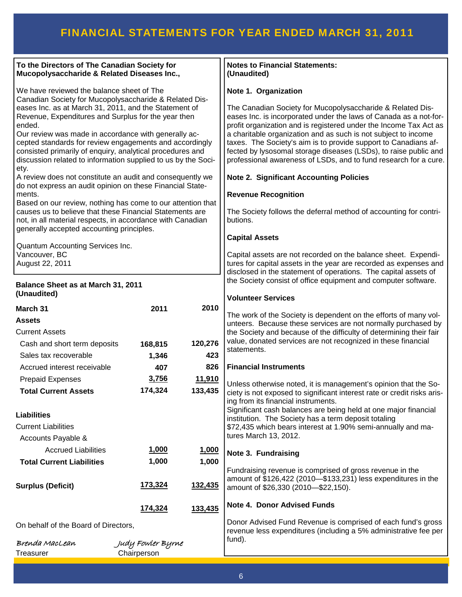# FINANCIAL STATEMENTS FOR YEAR ENDED MARCH 31, 2011

| To the Directors of The Canadian Society for<br>Mucopolysaccharide & Related Diseases Inc.,                                                                                                                                                                                                                                                                                                                                                                                                                                                                                                                                                                                                                                                                                                                                                                                                                                              |                                  |                   | <b>Notes to Financial Statements:</b><br>(Unaudited)                                                                                                                                                                                                                                                                                                                                                                                                                                                                                                                                                                                                                                                                                                                                                                                                                                                          |
|------------------------------------------------------------------------------------------------------------------------------------------------------------------------------------------------------------------------------------------------------------------------------------------------------------------------------------------------------------------------------------------------------------------------------------------------------------------------------------------------------------------------------------------------------------------------------------------------------------------------------------------------------------------------------------------------------------------------------------------------------------------------------------------------------------------------------------------------------------------------------------------------------------------------------------------|----------------------------------|-------------------|---------------------------------------------------------------------------------------------------------------------------------------------------------------------------------------------------------------------------------------------------------------------------------------------------------------------------------------------------------------------------------------------------------------------------------------------------------------------------------------------------------------------------------------------------------------------------------------------------------------------------------------------------------------------------------------------------------------------------------------------------------------------------------------------------------------------------------------------------------------------------------------------------------------|
| We have reviewed the balance sheet of The<br>Canadian Society for Mucopolysaccharide & Related Dis-<br>eases Inc. as at March 31, 2011, and the Statement of<br>Revenue, Expenditures and Surplus for the year then<br>ended.<br>Our review was made in accordance with generally ac-<br>cepted standards for review engagements and accordingly<br>consisted primarily of enquiry, analytical procedures and<br>discussion related to information supplied to us by the Soci-<br>ety.<br>A review does not constitute an audit and consequently we<br>do not express an audit opinion on these Financial State-<br>ments.<br>Based on our review, nothing has come to our attention that<br>causes us to believe that these Financial Statements are<br>not, in all material respects, in accordance with Canadian<br>generally accepted accounting principles.<br>Quantum Accounting Services Inc.<br>Vancouver, BC<br>August 22, 2011 |                                  |                   | Note 1. Organization<br>The Canadian Society for Mucopolysaccharide & Related Dis-<br>eases Inc. is incorporated under the laws of Canada as a not-for-<br>profit organization and is registered under the Income Tax Act as<br>a charitable organization and as such is not subject to income<br>taxes. The Society's aim is to provide support to Canadians af-<br>fected by lysosomal storage diseases (LSDs), to raise public and<br>professional awareness of LSDs, and to fund research for a cure.<br><b>Note 2. Significant Accounting Policies</b><br><b>Revenue Recognition</b><br>The Society follows the deferral method of accounting for contri-<br>butions.<br><b>Capital Assets</b><br>Capital assets are not recorded on the balance sheet. Expendi-<br>tures for capital assets in the year are recorded as expenses and<br>disclosed in the statement of operations. The capital assets of |
| Balance Sheet as at March 31, 2011<br>(Unaudited)                                                                                                                                                                                                                                                                                                                                                                                                                                                                                                                                                                                                                                                                                                                                                                                                                                                                                        |                                  |                   | the Society consist of office equipment and computer software.<br><b>Volunteer Services</b>                                                                                                                                                                                                                                                                                                                                                                                                                                                                                                                                                                                                                                                                                                                                                                                                                   |
| March 31                                                                                                                                                                                                                                                                                                                                                                                                                                                                                                                                                                                                                                                                                                                                                                                                                                                                                                                                 | 2011                             | 2010              |                                                                                                                                                                                                                                                                                                                                                                                                                                                                                                                                                                                                                                                                                                                                                                                                                                                                                                               |
| <b>Assets</b><br><b>Current Assets</b><br>Cash and short term deposits<br>Sales tax recoverable                                                                                                                                                                                                                                                                                                                                                                                                                                                                                                                                                                                                                                                                                                                                                                                                                                          | 168,815                          | 120,276<br>423    | The work of the Society is dependent on the efforts of many vol-<br>unteers. Because these services are not normally purchased by<br>the Society and because of the difficulty of determining their fair<br>value, donated services are not recognized in these financial<br>statements.                                                                                                                                                                                                                                                                                                                                                                                                                                                                                                                                                                                                                      |
| Accrued interest receivable                                                                                                                                                                                                                                                                                                                                                                                                                                                                                                                                                                                                                                                                                                                                                                                                                                                                                                              | 1,346                            | 826               | <b>Financial Instruments</b>                                                                                                                                                                                                                                                                                                                                                                                                                                                                                                                                                                                                                                                                                                                                                                                                                                                                                  |
|                                                                                                                                                                                                                                                                                                                                                                                                                                                                                                                                                                                                                                                                                                                                                                                                                                                                                                                                          | 407<br>3,756                     |                   |                                                                                                                                                                                                                                                                                                                                                                                                                                                                                                                                                                                                                                                                                                                                                                                                                                                                                                               |
| <b>Prepaid Expenses</b><br><b>Total Current Assets</b>                                                                                                                                                                                                                                                                                                                                                                                                                                                                                                                                                                                                                                                                                                                                                                                                                                                                                   | 174,324                          | 11,910<br>133,435 | Unless otherwise noted, it is management's opinion that the So-<br>ciety is not exposed to significant interest rate or credit risks aris-<br>ing from its financial instruments.<br>Significant cash balances are being held at one major financial                                                                                                                                                                                                                                                                                                                                                                                                                                                                                                                                                                                                                                                          |
| <b>Liabilities</b>                                                                                                                                                                                                                                                                                                                                                                                                                                                                                                                                                                                                                                                                                                                                                                                                                                                                                                                       |                                  |                   | institution. The Society has a term deposit totaling                                                                                                                                                                                                                                                                                                                                                                                                                                                                                                                                                                                                                                                                                                                                                                                                                                                          |
| <b>Current Liabilities</b>                                                                                                                                                                                                                                                                                                                                                                                                                                                                                                                                                                                                                                                                                                                                                                                                                                                                                                               |                                  |                   | \$72,435 which bears interest at 1.90% semi-annually and ma-                                                                                                                                                                                                                                                                                                                                                                                                                                                                                                                                                                                                                                                                                                                                                                                                                                                  |
| Accounts Payable &                                                                                                                                                                                                                                                                                                                                                                                                                                                                                                                                                                                                                                                                                                                                                                                                                                                                                                                       |                                  |                   | tures March 13, 2012.                                                                                                                                                                                                                                                                                                                                                                                                                                                                                                                                                                                                                                                                                                                                                                                                                                                                                         |
| <b>Accrued Liabilities</b>                                                                                                                                                                                                                                                                                                                                                                                                                                                                                                                                                                                                                                                                                                                                                                                                                                                                                                               | 1,000                            | 1,000             | Note 3. Fundraising                                                                                                                                                                                                                                                                                                                                                                                                                                                                                                                                                                                                                                                                                                                                                                                                                                                                                           |
| <b>Total Current Liabilities</b>                                                                                                                                                                                                                                                                                                                                                                                                                                                                                                                                                                                                                                                                                                                                                                                                                                                                                                         | 1,000                            | 1,000             |                                                                                                                                                                                                                                                                                                                                                                                                                                                                                                                                                                                                                                                                                                                                                                                                                                                                                                               |
| <b>Surplus (Deficit)</b>                                                                                                                                                                                                                                                                                                                                                                                                                                                                                                                                                                                                                                                                                                                                                                                                                                                                                                                 | 173,324                          | 132,435           | Fundraising revenue is comprised of gross revenue in the<br>amount of \$126,422 (2010-\$133,231) less expenditures in the<br>amount of \$26,330 (2010-\$22,150).                                                                                                                                                                                                                                                                                                                                                                                                                                                                                                                                                                                                                                                                                                                                              |
|                                                                                                                                                                                                                                                                                                                                                                                                                                                                                                                                                                                                                                                                                                                                                                                                                                                                                                                                          | 174,324                          | 133,435           | <b>Note 4. Donor Advised Funds</b>                                                                                                                                                                                                                                                                                                                                                                                                                                                                                                                                                                                                                                                                                                                                                                                                                                                                            |
| On behalf of the Board of Directors,                                                                                                                                                                                                                                                                                                                                                                                                                                                                                                                                                                                                                                                                                                                                                                                                                                                                                                     |                                  |                   | Donor Advised Fund Revenue is comprised of each fund's gross                                                                                                                                                                                                                                                                                                                                                                                                                                                                                                                                                                                                                                                                                                                                                                                                                                                  |
| Brenda MacLean<br>Treasurer                                                                                                                                                                                                                                                                                                                                                                                                                                                                                                                                                                                                                                                                                                                                                                                                                                                                                                              | Judy Fowler Byrne<br>Chairperson |                   | revenue less expenditures (including a 5% administrative fee per<br>fund).                                                                                                                                                                                                                                                                                                                                                                                                                                                                                                                                                                                                                                                                                                                                                                                                                                    |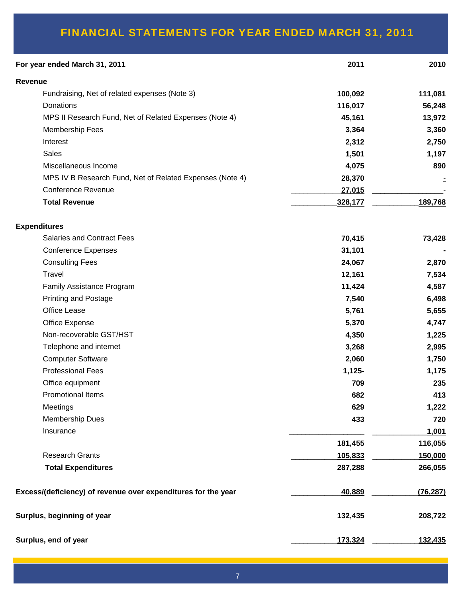# FINANCIAL STATEMENTS FOR YEAR ENDED MARCH 31, 2011

| For year ended March 31, 2011                                 | 2011      | 2010      |
|---------------------------------------------------------------|-----------|-----------|
| Revenue                                                       |           |           |
| Fundraising, Net of related expenses (Note 3)                 | 100,092   | 111,081   |
| Donations                                                     | 116,017   | 56,248    |
| MPS II Research Fund, Net of Related Expenses (Note 4)        | 45,161    | 13,972    |
| <b>Membership Fees</b>                                        | 3,364     | 3,360     |
| Interest                                                      | 2,312     | 2,750     |
| Sales                                                         | 1,501     | 1,197     |
| Miscellaneous Income                                          | 4,075     | 890       |
| MPS IV B Research Fund, Net of Related Expenses (Note 4)      | 28,370    |           |
| <b>Conference Revenue</b>                                     | 27,015    |           |
| <b>Total Revenue</b>                                          | 328,177   | 189,768   |
| <b>Expenditures</b>                                           |           |           |
| <b>Salaries and Contract Fees</b>                             | 70,415    | 73,428    |
| <b>Conference Expenses</b>                                    | 31,101    |           |
| <b>Consulting Fees</b>                                        | 24,067    | 2,870     |
| Travel                                                        | 12,161    | 7,534     |
| Family Assistance Program                                     | 11,424    | 4,587     |
| <b>Printing and Postage</b>                                   | 7,540     | 6,498     |
| Office Lease                                                  | 5,761     | 5,655     |
| Office Expense                                                | 5,370     | 4,747     |
| Non-recoverable GST/HST                                       | 4,350     | 1,225     |
| Telephone and internet                                        | 3,268     | 2,995     |
| <b>Computer Software</b>                                      | 2,060     | 1,750     |
| <b>Professional Fees</b>                                      | $1,125 -$ | 1,175     |
| Office equipment                                              | 709       | 235       |
| <b>Promotional Items</b>                                      | 682       | 413       |
| Meetings                                                      | 629       | 1,222     |
| <b>Membership Dues</b>                                        | 433       | 720       |
| Insurance                                                     |           | 1,001     |
|                                                               | 181,455   | 116,055   |
| <b>Research Grants</b>                                        | 105,833   | 150,000   |
| <b>Total Expenditures</b>                                     | 287,288   | 266,055   |
| Excess/(deficiency) of revenue over expenditures for the year | 40,889    | (76, 287) |
| Surplus, beginning of year                                    | 132,435   | 208,722   |
| Surplus, end of year                                          | 173,324   | 132,435   |